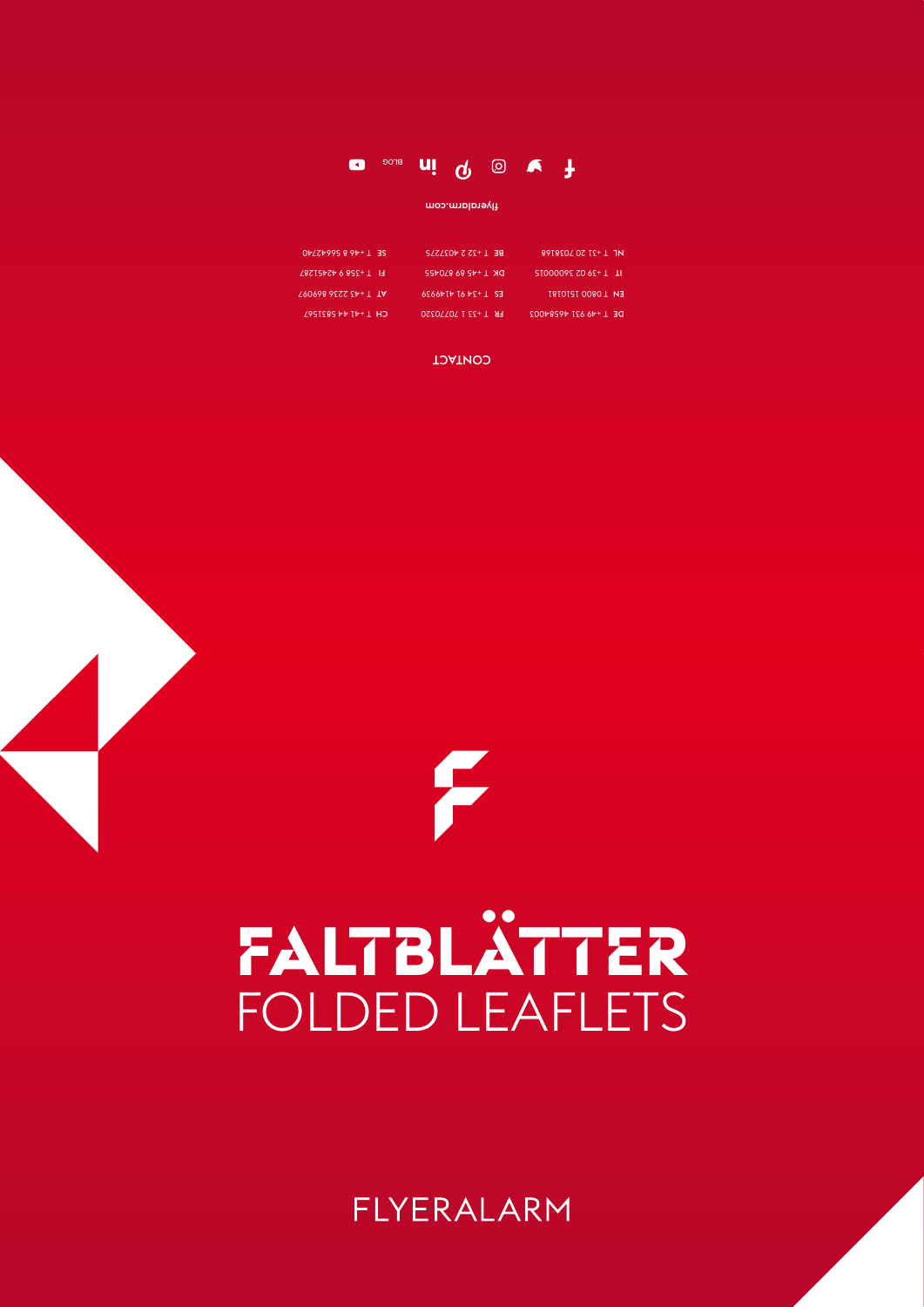# **Faltblätter**

F

### FOLDED LEAFLETS

### FLYERALARM

| 8918202 02 12+1 1N      | BE $\perp$ +25 5 4031212   | $0\frac{1}{2}$ 1 + 40 8 9945240 |
|-------------------------|----------------------------|---------------------------------|
| $1 + 20000925062 + 1$   |                            | $F1$ T +358 9 42451287          |
| EN 10800 1210181        | E2 1 +24 61 4146626        | 190698 9222 24+ T TA            |
| DE 1 + 46 621 4028 4002 | <b>FR T +33 1 70770320</b> | $C$ H 1 + + 1 + 2831291         |



flyeralarm.com



#### CONTACT